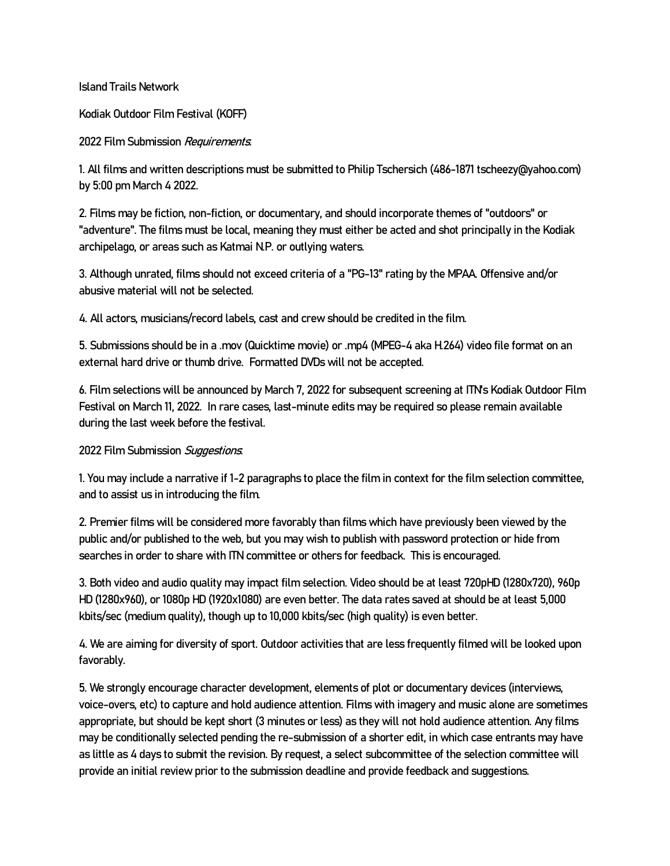Island Trails Network

Kodiak Outdoor Film Festival (KOFF)

## 2022 Film Submission Requirements

1. All films and written descriptions must be submitted to Philip Tschersich (486-1871 tscheezy@yahoo.com) by 5:00 pm March 4 2022.

2. Films may be fiction, non-fiction, or documentary, and should incorporate themes of "outdoors" or "adventure". The films must be local, meaning they must either be acted and shot principally in the Kodiak archipelago, or areas such as Katmai N.P. or outlying waters.

3. Although unrated, films should not exceed criteria of a "PG-13" rating by the MPAA. Offensive and/or abusive material will not be selected.

4. All actors, musicians/record labels, cast and crew should be credited in the film.

5. Submissions should be in a .mov (Quicktime movie) or .mp4 (MPEG-4 aka H.264) video file format on an external hard drive or thumb drive. Formatted DVDs will not be accepted.

6. Film selections will be announced by March 7, 2022 for subsequent screening at ITN's Kodiak Outdoor Film Festival on March 11, 2022. In rare cases, last-minute edits may be required so please remain available during the last week before the festival.

## 2022 Film Submission Suggestions

1. You may include a narrative if 1-2 paragraphs to place the film in context for the film selection committee, and to assist us in introducing the film.

2. Premier films will be considered more favorably than films which have previously been viewed by the public and/or published to the web, but you may wish to publish with password protection or hide from searches in order to share with ITN committee or others for feedback. This is encouraged.

3. Both video and audio quality may impact film selection. Video should be at least 720pHD (1280x720), 960p HD (1280x960), or 1080p HD (1920x1080) are even better. The data rates saved at should be at least 5,000 kbits/sec (medium quality), though up to 10,000 kbits/sec (high quality) is even better.

4. We are aiming for diversity of sport. Outdoor activities that are less frequently filmed will be looked upon favorably.

5. We strongly encourage character development, elements of plot or documentary devices (interviews, voice-overs, etc) to capture and hold audience attention. Films with imagery and music alone are sometimes appropriate, but should be kept short (3 minutes or less) as they will not hold audience attention. Any films may be conditionally selected pending the re-submission of a shorter edit, in which case entrants may have as little as 4 days to submit the revision. By request, a select subcommittee of the selection committee will provide an initial review prior to the submission deadline and provide feedback and suggestions.